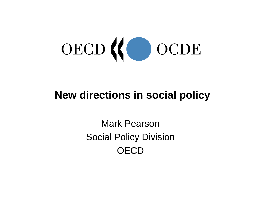

# **New directions in social policy**

Mark PearsonSocial Policy Division **OECD**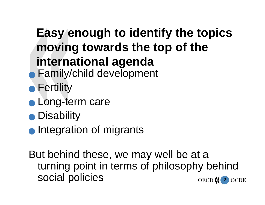# **Easy enough to identify the topics moving towards the top of the international agenda • Family/child development**

- $\bullet$  Fertility
- **C** Long-term care
- **•** Disability
- **Integration of migrants**

2 But behind these, we may well be at <sup>a</sup> turning point in terms of philosophy behind social policies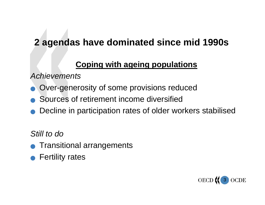### **2 agendas have dominated since mid 1990s**

#### **Coping with ageing populations**

*Achievements*

- <sup>Q</sup> Over-generosity of some provisions reduced
- Sources of retirement income diversified
- Decline in participation rates of older workers stabilised

*Still to do*

- Transitional arrangements
- **Fertility rates**

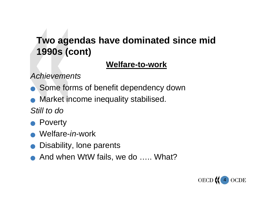## **Two agendas have dominated since mid 1990s (cont)**

#### **Welfare-to-work**

*Achievements*

- Some forms of benefit dependency down
- Market income inequality stabilised.

*Still to do*

- **Poverty**
- <sup>Q</sup> Welfare-*in*-work
- Disability, lone parents
- And when WtW fails, we do ….. What?

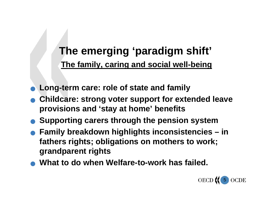# **The emerging 'paradigm shift' The family, caring and social well-being**

- <sup>Q</sup> **Long-term care: role of state and family**
- <sup>Q</sup> **Childcare: strong voter support for extended leave provisions and 'stay at home' benefits**
- <sup>Q</sup> **Supporting carers through the pension system**
- <sup>Q</sup> **Family breakdown highlights inconsistencies – in fathers rights; obligations on mothers to work; grandparent rights**
- <sup>Q</sup> **What to do when Welfare-to-work has failed.**